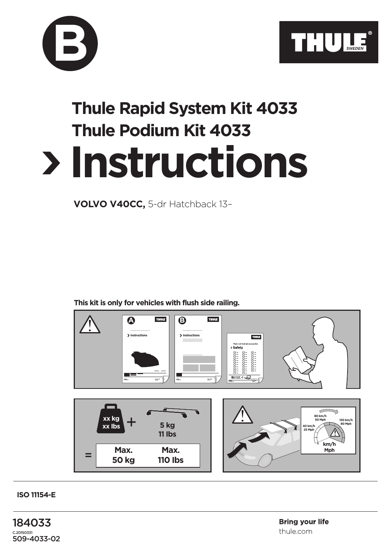



## **Instructions Thule Rapid System Kit 4033 Thule Podium Kit 4033**

**VOLVO V40CC,** 5-dr Hatchback 13–

**This kit is only for vehicles with flush side railing.**



**ISO 11154-E**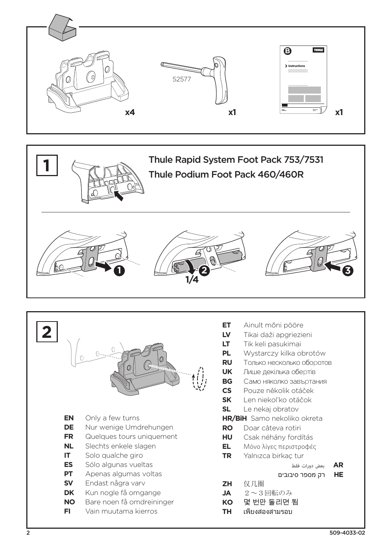







- **ET** Ainult mõni pööre
- LV Tikai daži apgriezieni
- LT. Tik keli pasukimai
- **PL** Wystarczy kilka obrotów
- **RU** Только несколько оборотов
- **UK** Лише декілька обертів
- **BG** Само няколко завъртания
- $\mathsf{cs}$ Pouze několik otáček
- **SK** Len niekoľko otáčok
- $SI$ Le nekai obratov
- **HR/BiH** Samo nekoliko okreta
- Doar câteva rotiri **RO**
- **HU** Csak néhány fordítás
- EL. Μόνο λίνες περιστροφές
- **TR** Yalnızca birkaç tur
	- **AR** بعض دورات فقط
	- רק מספר סיבובים **HE**
- **ZH** 仅几圈
- **JA**  $2 \sim 3$ 回転のみ
- KO 몇 번만 돌리면 됨
- **TH** เพียงสองสามรอบ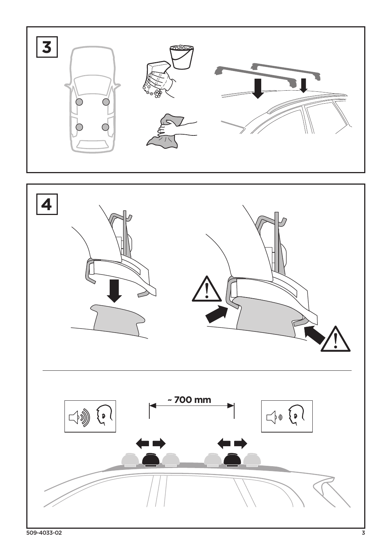